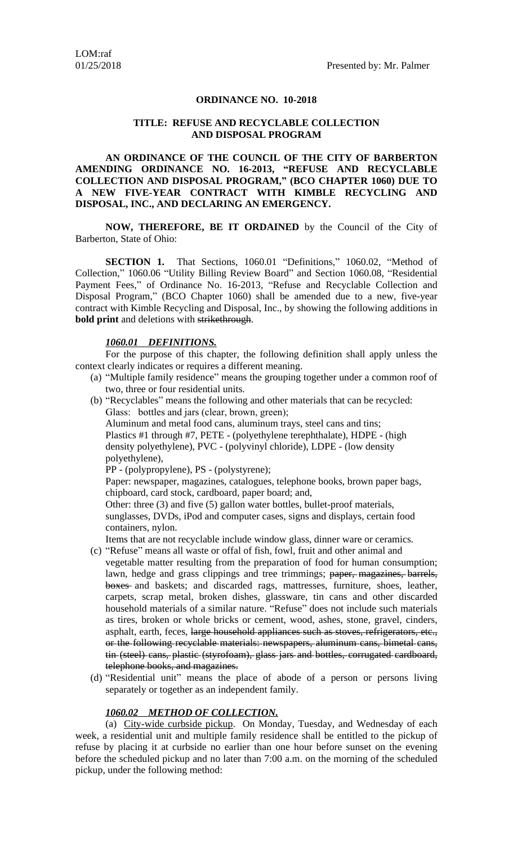#### **ORDINANCE NO. 10-2018**

#### **TITLE: REFUSE AND RECYCLABLE COLLECTION AND DISPOSAL PROGRAM**

**AN ORDINANCE OF THE COUNCIL OF THE CITY OF BARBERTON AMENDING ORDINANCE NO. 16-2013, "REFUSE AND RECYCLABLE COLLECTION AND DISPOSAL PROGRAM, " (BCO CHAPTER 1060) DUE TO A NEW FIVE-YEAR CONTRACT WITH KIMBLE RECYCLING AND DISPOSAL, INC., AND DECLARING AN EMERGENCY.**

**NOW, THEREFORE, BE IT ORDAINED** by the Council of the City of Barberton, State of Ohio:

**SECTION 1.** That Sections, 1060.01 "Definitions," 1060.02, "Method of Collection," 1060.06 "Utility Billing Review Board" and Section 1060.08, "Residential Payment Fees," of Ordinance No. 16-2013, "Refuse and Recyclable Collection and Disposal Program," (BCO Chapter 1060) shall be amended due to a new, five-year contract with Kimble Recycling and Disposal, Inc., by showing the following additions in **bold print** and deletions with strikethrough.

#### *1060.01 DEFINITIONS.*

For the purpose of this chapter, the following definition shall apply unless the context clearly indicates or requires a different meaning.

- (a) "Multiple family residence" means the grouping together under a common roof of two, three or four residential units.
- (b) "Recyclables" means the following and other materials that can be recycled: Glass: bottles and jars (clear, brown, green);

Aluminum and metal food cans, aluminum trays, steel cans and tins; Plastics #1 through #7, PETE - (polyethylene terephthalate), HDPE - (high density polyethylene), PVC - (polyvinyl chloride), LDPE - (low density polyethylene),

PP - (polypropylene), PS - (polystyrene);

Paper: newspaper, magazines, catalogues, telephone books, brown paper bags, chipboard, card stock, cardboard, paper board; and,

Other: three (3) and five (5) gallon water bottles, bullet-proof materials, sunglasses, DVDs, iPod and computer cases, signs and displays, certain food containers, nylon.

Items that are not recyclable include window glass, dinner ware or ceramics.

- (c) "Refuse" means all waste or offal of fish, fowl, fruit and other animal and vegetable matter resulting from the preparation of food for human consumption; lawn, hedge and grass clippings and tree trimmings; paper, magazines, barrels, boxes and baskets; and discarded rags, mattresses, furniture, shoes, leather, carpets, scrap metal, broken dishes, glassware, tin cans and other discarded household materials of a similar nature. "Refuse" does not include such materials as tires, broken or whole bricks or cement, wood, ashes, stone, gravel, cinders, asphalt, earth, feces, large household appliances such as stoves, refrigerators, etc., or the following recyclable materials: newspapers, aluminum cans, bimetal cans, tin (steel) cans, plastic (styrofoam), glass jars and bottles, corrugated cardboard, telephone books, and magazines.
- (d) "Residential unit" means the place of abode of a person or persons living separately or together as an independent family.

#### *1060.02 METHOD OF COLLECTION.*

(a) City-wide curbside pickup. On Monday, Tuesday, and Wednesday of each week, a residential unit and multiple family residence shall be entitled to the pickup of refuse by placing it at curbside no earlier than one hour before sunset on the evening before the scheduled pickup and no later than 7:00 a.m. on the morning of the scheduled pickup, under the following method: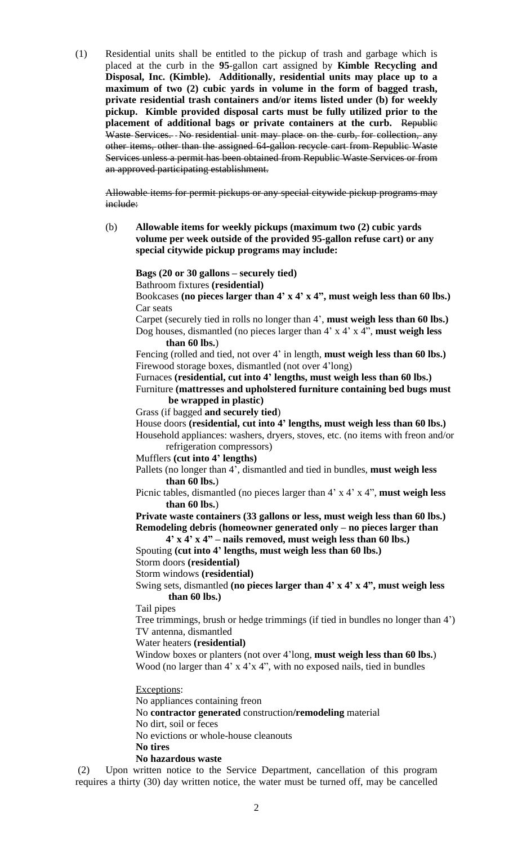(1) Residential units shall be entitled to the pickup of trash and garbage which is placed at the curb in the **95**-gallon cart assigned by **Kimble Recycling and Disposal, Inc. (Kimble). Additionally, residential units may place up to a maximum of two (2) cubic yards in volume in the form of bagged trash, private residential trash containers and/or items listed under (b) for weekly pickup. Kimble provided disposal carts must be fully utilized prior to the placement of additional bags or private containers at the curb.** Republic Waste Services. No residential unit may place on the curb, for collection, any other items, other than the assigned 64-gallon recycle cart from Republic Waste Services unless a permit has been obtained from Republic Waste Services or from an approved participating establishment.

Allowable items for permit pickups or any special citywide pickup programs may include:

(b) **Allowable items for weekly pickups (maximum two (2) cubic yards volume per week outside of the provided 95-gallon refuse cart) or any special citywide pickup programs may include:**

**Bags (20 or 30 gallons – securely tied)**

Bathroom fixtures **(residential)**

Bookcases **(no pieces larger than 4' x 4' x 4", must weigh less than 60 lbs.)** Car seats

Carpet (securely tied in rolls no longer than 4', **must weigh less than 60 lbs.)** Dog houses, dismantled (no pieces larger than 4' x 4' x 4", **must weigh less than 60 lbs.**)

Fencing (rolled and tied, not over 4' in length, **must weigh less than 60 lbs.)** Firewood storage boxes, dismantled (not over 4'long)

Furnaces **(residential, cut into 4' lengths, must weigh less than 60 lbs.)**

Furniture **(mattresses and upholstered furniture containing bed bugs must be wrapped in plastic)**

Grass (if bagged **and securely tied**)

House doors **(residential, cut into 4' lengths, must weigh less than 60 lbs.)**

Household appliances: washers, dryers, stoves, etc. (no items with freon and/or refrigeration compressors)

Mufflers **(cut into 4' lengths)**

Pallets (no longer than 4', dismantled and tied in bundles, **must weigh less than 60 lbs.**)

Picnic tables, dismantled (no pieces larger than 4' x 4' x 4", **must weigh less than 60 lbs.**)

**Private waste containers (33 gallons or less, must weigh less than 60 lbs.) Remodeling debris (homeowner generated only – no pieces larger than**

**4' x 4' x 4" – nails removed, must weigh less than 60 lbs.)** Spouting **(cut into 4' lengths, must weigh less than 60 lbs.)**

Storm doors **(residential)**

Storm windows **(residential)**

Swing sets, dismantled **(no pieces larger than 4' x 4' x 4", must weigh less than 60 lbs.)**

Tail pipes

Tree trimmings, brush or hedge trimmings (if tied in bundles no longer than 4') TV antenna, dismantled

Water heaters **(residential)**

Window boxes or planters (not over 4'long, **must weigh less than 60 lbs.**) Wood (no larger than 4' x 4'x 4", with no exposed nails, tied in bundles

Exceptions:

No appliances containing freon

No **contractor generated** construction**/remodeling** material

No dirt, soil or feces

No evictions or whole-house cleanouts

**No tires**

**No hazardous waste**

(2) Upon written notice to the Service Department, cancellation of this program requires a thirty (30) day written notice, the water must be turned off, may be cancelled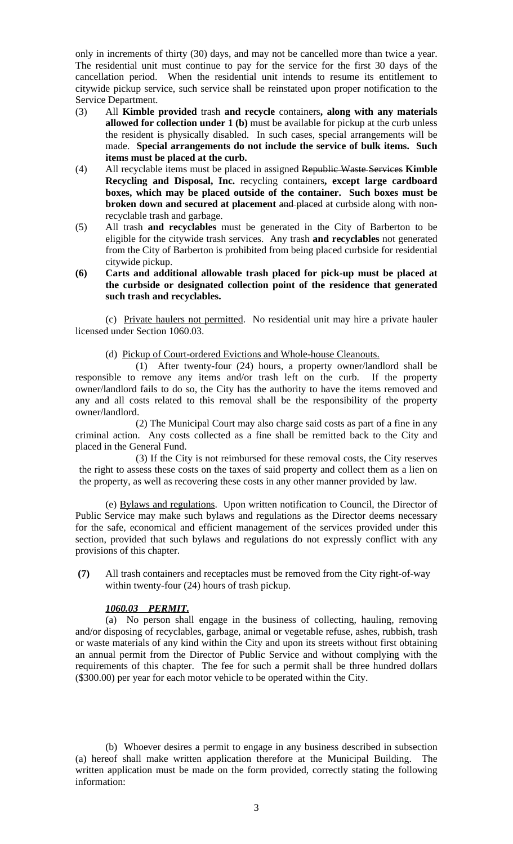only in increments of thirty (30) days, and may not be cancelled more than twice a year. The residential unit must continue to pay for the service for the first 30 days of the cancellation period. When the residential unit intends to resume its entitlement to citywide pickup service, such service shall be reinstated upon proper notification to the Service Department.

- (3) All **Kimble provided** trash **and recycle** containers**, along with any materials allowed for collection under 1 (b)** must be available for pickup at the curb unless the resident is physically disabled. In such cases, special arrangements will be made. **Special arrangements do not include the service of bulk items. Such items must be placed at the curb.**
- (4) All recyclable items must be placed in assigned Republic Waste Services **Kimble Recycling and Disposal, Inc.** recycling containers**, except large cardboard boxes, which may be placed outside of the container. Such boxes must be broken down and secured at placement** and placed at curbside along with nonrecyclable trash and garbage.
- (5) All trash **and recyclables** must be generated in the City of Barberton to be eligible for the citywide trash services. Any trash **and recyclables** not generated from the City of Barberton is prohibited from being placed curbside for residential citywide pickup.

### **(6) Carts and additional allowable trash placed for pick-up must be placed at the curbside or designated collection point of the residence that generated such trash and recyclables.**

(c) Private haulers not permitted. No residential unit may hire a private hauler licensed under Section 1060.03.

(d) Pickup of Court-ordered Evictions and Whole-house Cleanouts.

(1) After twenty-four (24) hours, a property owner/landlord shall be responsible to remove any items and/or trash left on the curb. If the property owner/landlord fails to do so, the City has the authority to have the items removed and any and all costs related to this removal shall be the responsibility of the property owner/landlord.

(2) The Municipal Court may also charge said costs as part of a fine in any criminal action. Any costs collected as a fine shall be remitted back to the City and placed in the General Fund.

(3) If the City is not reimbursed for these removal costs, the City reserves the right to assess these costs on the taxes of said property and collect them as a lien on the property, as well as recovering these costs in any other manner provided by law.

(e) Bylaws and regulations. Upon written notification to Council, the Director of Public Service may make such bylaws and regulations as the Director deems necessary for the safe, economical and efficient management of the services provided under this section, provided that such bylaws and regulations do not expressly conflict with any provisions of this chapter.

 **(7)** All trash containers and receptacles must be removed from the City right-of-way within twenty-four (24) hours of trash pickup.

## *1060.03 PERMIT.*

(a) No person shall engage in the business of collecting, hauling, removing and/or disposing of recyclables, garbage, animal or vegetable refuse, ashes, rubbish, trash or waste materials of any kind within the City and upon its streets without first obtaining an annual permit from the Director of Public Service and without complying with the requirements of this chapter. The fee for such a permit shall be three hundred dollars (\$300.00) per year for each motor vehicle to be operated within the City.

(b) Whoever desires a permit to engage in any business described in subsection (a) hereof shall make written application therefore at the Municipal Building. The written application must be made on the form provided, correctly stating the following information: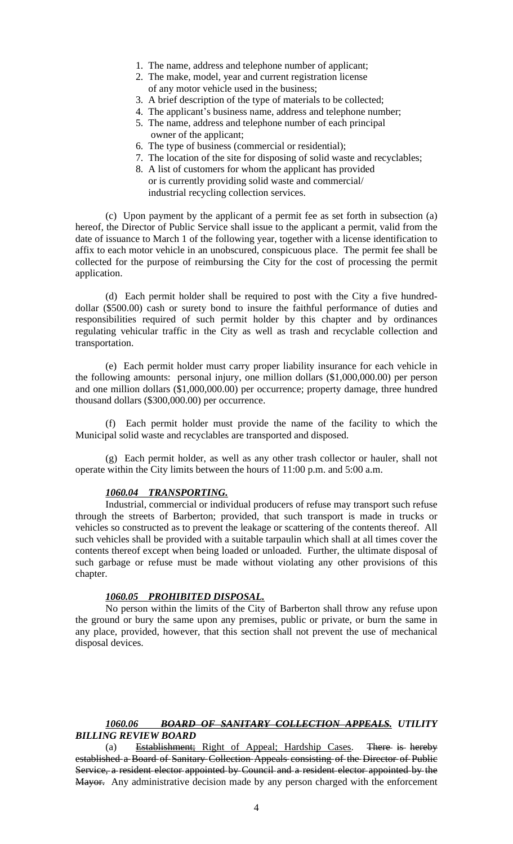- 1. The name, address and telephone number of applicant;
- 2. The make, model, year and current registration license of any motor vehicle used in the business;
- 3. A brief description of the type of materials to be collected;
- 4. The applicant's business name, address and telephone number;
- 5. The name, address and telephone number of each principal owner of the applicant;
- 6. The type of business (commercial or residential);
- 7. The location of the site for disposing of solid waste and recyclables;
- 8. A list of customers for whom the applicant has provided or is currently providing solid waste and commercial/ industrial recycling collection services.

(c) Upon payment by the applicant of a permit fee as set forth in subsection (a) hereof, the Director of Public Service shall issue to the applicant a permit, valid from the date of issuance to March 1 of the following year, together with a license identification to affix to each motor vehicle in an unobscured, conspicuous place. The permit fee shall be collected for the purpose of reimbursing the City for the cost of processing the permit application.

(d) Each permit holder shall be required to post with the City a five hundreddollar (\$500.00) cash or surety bond to insure the faithful performance of duties and responsibilities required of such permit holder by this chapter and by ordinances regulating vehicular traffic in the City as well as trash and recyclable collection and transportation.

(e) Each permit holder must carry proper liability insurance for each vehicle in the following amounts: personal injury, one million dollars (\$1,000,000.00) per person and one million dollars (\$1,000,000.00) per occurrence; property damage, three hundred thousand dollars (\$300,000.00) per occurrence.

(f) Each permit holder must provide the name of the facility to which the Municipal solid waste and recyclables are transported and disposed.

(g) Each permit holder, as well as any other trash collector or hauler, shall not operate within the City limits between the hours of 11:00 p.m. and 5:00 a.m.

### *1060.04 TRANSPORTING.*

Industrial, commercial or individual producers of refuse may transport such refuse through the streets of Barberton; provided, that such transport is made in trucks or vehicles so constructed as to prevent the leakage or scattering of the contents thereof. All such vehicles shall be provided with a suitable tarpaulin which shall at all times cover the contents thereof except when being loaded or unloaded. Further, the ultimate disposal of such garbage or refuse must be made without violating any other provisions of this chapter.

#### *1060.05 PROHIBITED DISPOSAL.*

No person within the limits of the City of Barberton shall throw any refuse upon the ground or bury the same upon any premises, public or private, or burn the same in any place, provided, however, that this section shall not prevent the use of mechanical disposal devices.

# *1060.06 BOARD OF SANITARY COLLECTION APPEALS. UTILITY BILLING REVIEW BOARD*

(a) Establishment; Right of Appeal; Hardship Cases. There is hereby established a Board of Sanitary Collection Appeals consisting of the Director of Public Service, a resident elector appointed by Council and a resident elector appointed by the Mayor. Any administrative decision made by any person charged with the enforcement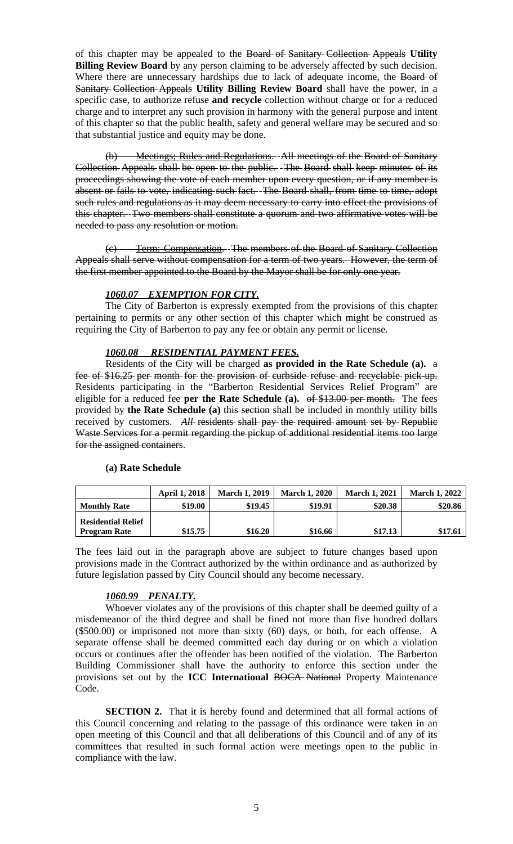of this chapter may be appealed to the Board of Sanitary Collection Appeals **Utility Billing Review Board** by any person claiming to be adversely affected by such decision. Where there are unnecessary hardships due to lack of adequate income, the Board of Sanitary Collection Appeals **Utility Billing Review Board** shall have the power, in a specific case, to authorize refuse **and recycle** collection without charge or for a reduced charge and to interpret any such provision in harmony with the general purpose and intent of this chapter so that the public health, safety and general welfare may be secured and so that substantial justice and equity may be done.

Meetings; Rules and Regulations. All meetings of the Board of Sanitary Collection Appeals shall be open to the public. The Board shall keep minutes of its proceedings showing the vote of each member upon every question, or if any member is absent or fails to vote, indicating such fact. The Board shall, from time to time, adopt such rules and regulations as it may deem necessary to carry into effect the provisions of this chapter. Two members shall constitute a quorum and two affirmative votes will be needed to pass any resolution or motion.

(c) Term: Compensation. The members of the Board of Sanitary Collection Appeals shall serve without compensation for a term of two years. However, the term of the first member appointed to the Board by the Mayor shall be for only one year.

# *1060.07 EXEMPTION FOR CITY.*

The City of Barberton is expressly exempted from the provisions of this chapter pertaining to permits or any other section of this chapter which might be construed as requiring the City of Barberton to pay any fee or obtain any permit or license.

## *1060.08 RESIDENTIAL PAYMENT FEES.*

Residents of the City will be charged **as provided in the Rate Schedule (a).** a fee of \$16.25 per month for the provision of curbside refuse and recyclable pick-up. Residents participating in the "Barberton Residential Services Relief Program" are eligible for a reduced fee **per the Rate Schedule (a).** of \$13.00 per month. The fees provided by **the Rate Schedule (a)** this section shall be included in monthly utility bills received by customers. All residents shall pay the required amount set by Republic Waste Services for a permit regarding the pickup of additional residential items too large for the assigned containers.

## **(a) Rate Schedule**

|                           | <b>April 1, 2018</b> | <b>March 1, 2019</b> | <b>March 1, 2020</b> | <b>March 1, 2021</b> | <b>March 1, 2022</b> |
|---------------------------|----------------------|----------------------|----------------------|----------------------|----------------------|
| <b>Monthly Rate</b>       | \$19.00              | \$19.45              | \$19.91              | \$20.38              | \$20.86              |
| <b>Residential Relief</b> |                      |                      |                      |                      |                      |
| <b>Program Rate</b>       | \$15.75              | \$16.20              | \$16.66              | \$17.13              | \$17.61              |

The fees laid out in the paragraph above are subject to future changes based upon provisions made in the Contract authorized by the within ordinance and as authorized by future legislation passed by City Council should any become necessary.

## *1060.99 PENALTY.*

Whoever violates any of the provisions of this chapter shall be deemed guilty of a misdemeanor of the third degree and shall be fined not more than five hundred dollars (\$500.00) or imprisoned not more than sixty (60) days, or both, for each offense. A separate offense shall be deemed committed each day during or on which a violation occurs or continues after the offender has been notified of the violation. The Barberton Building Commissioner shall have the authority to enforce this section under the provisions set out by the **ICC International** BOCA National Property Maintenance Code.

**SECTION 2.** That it is hereby found and determined that all formal actions of this Council concerning and relating to the passage of this ordinance were taken in an open meeting of this Council and that all deliberations of this Council and of any of its committees that resulted in such formal action were meetings open to the public in compliance with the law.